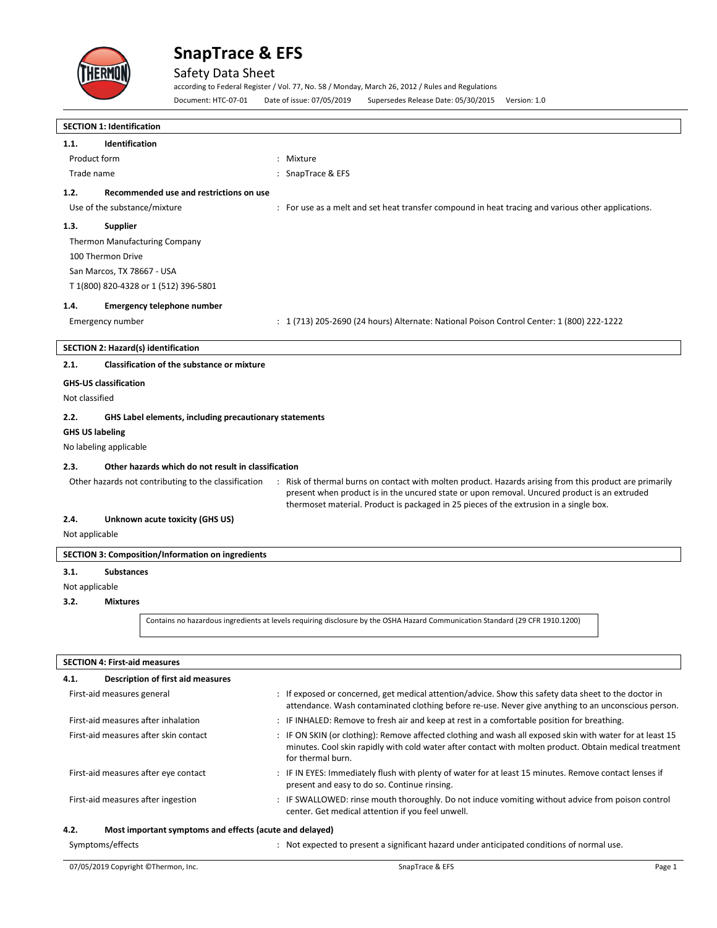

## Safety Data Sheet

according to Federal Register / Vol. 77, No. 58 / Monday, March 26, 2012 / Rules and Regulations Document: HTC-07-01 Date of issue: 07/05/2019 Supersedes Release Date: 05/30/2015 Version: 1.0

| <b>SECTION 1: Identification</b>                                                                                                                                                                                                           |                                                                                                                                                                                                                                                                 |  |  |  |
|--------------------------------------------------------------------------------------------------------------------------------------------------------------------------------------------------------------------------------------------|-----------------------------------------------------------------------------------------------------------------------------------------------------------------------------------------------------------------------------------------------------------------|--|--|--|
| 1.1.<br><b>Identification</b>                                                                                                                                                                                                              |                                                                                                                                                                                                                                                                 |  |  |  |
| Product form<br>Trade name                                                                                                                                                                                                                 | : Mixture<br>: SnapTrace & EFS                                                                                                                                                                                                                                  |  |  |  |
|                                                                                                                                                                                                                                            |                                                                                                                                                                                                                                                                 |  |  |  |
| Recommended use and restrictions on use<br>1.2.                                                                                                                                                                                            |                                                                                                                                                                                                                                                                 |  |  |  |
| Use of the substance/mixture                                                                                                                                                                                                               | : For use as a melt and set heat transfer compound in heat tracing and various other applications.                                                                                                                                                              |  |  |  |
| 1.3.<br><b>Supplier</b>                                                                                                                                                                                                                    |                                                                                                                                                                                                                                                                 |  |  |  |
| <b>Thermon Manufacturing Company</b>                                                                                                                                                                                                       |                                                                                                                                                                                                                                                                 |  |  |  |
| 100 Thermon Drive                                                                                                                                                                                                                          |                                                                                                                                                                                                                                                                 |  |  |  |
| San Marcos, TX 78667 - USA<br>T 1(800) 820-4328 or 1 (512) 396-5801                                                                                                                                                                        |                                                                                                                                                                                                                                                                 |  |  |  |
|                                                                                                                                                                                                                                            |                                                                                                                                                                                                                                                                 |  |  |  |
| 1.4.<br><b>Emergency telephone number</b>                                                                                                                                                                                                  |                                                                                                                                                                                                                                                                 |  |  |  |
| Emergency number                                                                                                                                                                                                                           | : 1 (713) 205-2690 (24 hours) Alternate: National Poison Control Center: 1 (800) 222-1222                                                                                                                                                                       |  |  |  |
| <b>SECTION 2: Hazard(s) identification</b>                                                                                                                                                                                                 |                                                                                                                                                                                                                                                                 |  |  |  |
| 2.1.<br><b>Classification of the substance or mixture</b>                                                                                                                                                                                  |                                                                                                                                                                                                                                                                 |  |  |  |
| <b>GHS-US classification</b>                                                                                                                                                                                                               |                                                                                                                                                                                                                                                                 |  |  |  |
| Not classified                                                                                                                                                                                                                             |                                                                                                                                                                                                                                                                 |  |  |  |
| 2.2.<br>GHS Label elements, including precautionary statements                                                                                                                                                                             |                                                                                                                                                                                                                                                                 |  |  |  |
| <b>GHS US labeling</b>                                                                                                                                                                                                                     |                                                                                                                                                                                                                                                                 |  |  |  |
| No labeling applicable                                                                                                                                                                                                                     |                                                                                                                                                                                                                                                                 |  |  |  |
| 2.3.<br>Other hazards which do not result in classification                                                                                                                                                                                |                                                                                                                                                                                                                                                                 |  |  |  |
|                                                                                                                                                                                                                                            | Other hazards not contributing to the classification<br>: Risk of thermal burns on contact with molten product. Hazards arising from this product are primarily<br>present when product is in the uncured state or upon removal. Uncured product is an extruded |  |  |  |
|                                                                                                                                                                                                                                            | thermoset material. Product is packaged in 25 pieces of the extrusion in a single box.                                                                                                                                                                          |  |  |  |
| 2.4.<br>Unknown acute toxicity (GHS US)                                                                                                                                                                                                    |                                                                                                                                                                                                                                                                 |  |  |  |
| Not applicable                                                                                                                                                                                                                             |                                                                                                                                                                                                                                                                 |  |  |  |
| <b>SECTION 3: Composition/Information on ingredients</b>                                                                                                                                                                                   |                                                                                                                                                                                                                                                                 |  |  |  |
| 3.1.<br><b>Substances</b>                                                                                                                                                                                                                  |                                                                                                                                                                                                                                                                 |  |  |  |
| Not applicable                                                                                                                                                                                                                             |                                                                                                                                                                                                                                                                 |  |  |  |
| 3.2.<br><b>Mixtures</b>                                                                                                                                                                                                                    |                                                                                                                                                                                                                                                                 |  |  |  |
|                                                                                                                                                                                                                                            | Contains no hazardous ingredients at levels requiring disclosure by the OSHA Hazard Communication Standard (29 CFR 1910.1200)                                                                                                                                   |  |  |  |
|                                                                                                                                                                                                                                            |                                                                                                                                                                                                                                                                 |  |  |  |
| <b>SECTION 4: First-aid measures</b>                                                                                                                                                                                                       |                                                                                                                                                                                                                                                                 |  |  |  |
| <b>Description of first aid measures</b><br>4.1.                                                                                                                                                                                           |                                                                                                                                                                                                                                                                 |  |  |  |
| : If exposed or concerned, get medical attention/advice. Show this safety data sheet to the doctor in<br>First-aid measures general<br>attendance. Wash contaminated clothing before re-use. Never give anything to an unconscious person. |                                                                                                                                                                                                                                                                 |  |  |  |
| First-aid measures after inhalation                                                                                                                                                                                                        | : IF INHALED: Remove to fresh air and keep at rest in a comfortable position for breathing.                                                                                                                                                                     |  |  |  |
| First-aid measures after skin contact                                                                                                                                                                                                      | : IF ON SKIN (or clothing): Remove affected clothing and wash all exposed skin with water for at least 15<br>minutes. Cool skin rapidly with cold water after contact with molten product. Obtain medical treatment<br>for thermal burn.                        |  |  |  |

First-aid measures after eye contact **inter an EXTES:** Immediately flush with plenty of water for at least 15 minutes. Remove contact lenses if present and easy to do so. Continue rinsing.

### First-aid measures after ingestion : IF SWALLOWED: rinse mouth thoroughly. Do not induce vomiting without advice from poison control center. Get medical attention if you feel unwell.

### **4.2. Most important symptoms and effects (acute and delayed)**

Symptoms/effects **included in the symptoms/effects** included to present a significant hazard under anticipated conditions of normal use.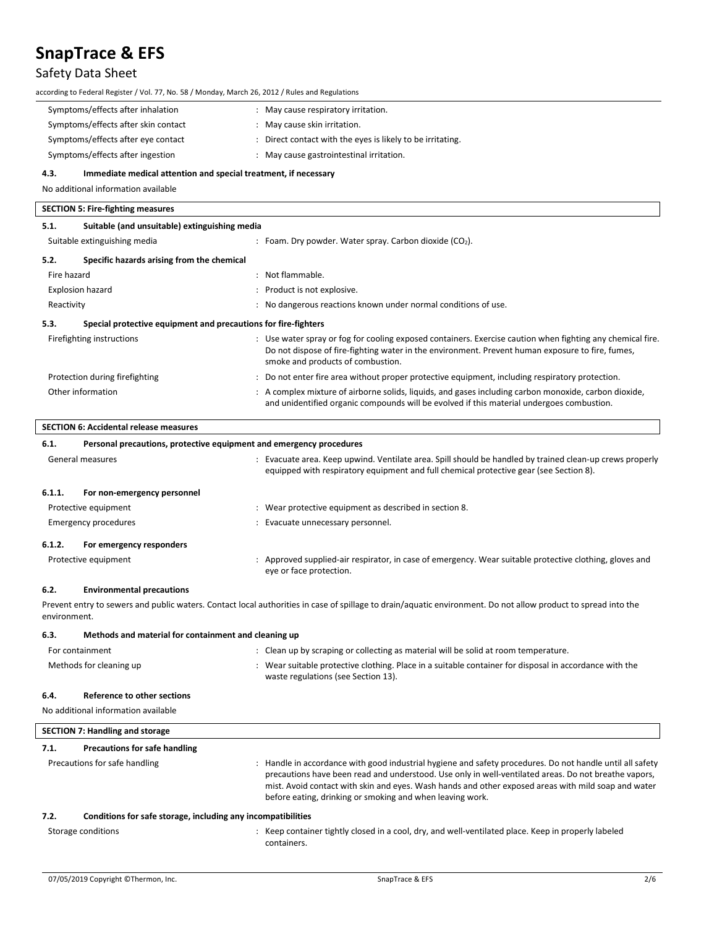# Safety Data Sheet

| according to Federal Register / Vol. 77, No. 58 / Monday, March 26, 2012 / Rules and Regulations |                                                                                                                                                                                                                                                                                                                                                                                       |  |  |
|--------------------------------------------------------------------------------------------------|---------------------------------------------------------------------------------------------------------------------------------------------------------------------------------------------------------------------------------------------------------------------------------------------------------------------------------------------------------------------------------------|--|--|
| Symptoms/effects after inhalation                                                                | : May cause respiratory irritation.                                                                                                                                                                                                                                                                                                                                                   |  |  |
| Symptoms/effects after skin contact                                                              | : May cause skin irritation.                                                                                                                                                                                                                                                                                                                                                          |  |  |
| Symptoms/effects after eye contact                                                               | : Direct contact with the eyes is likely to be irritating.                                                                                                                                                                                                                                                                                                                            |  |  |
| Symptoms/effects after ingestion                                                                 | : May cause gastrointestinal irritation.                                                                                                                                                                                                                                                                                                                                              |  |  |
| 4.3.<br>Immediate medical attention and special treatment, if necessary                          |                                                                                                                                                                                                                                                                                                                                                                                       |  |  |
| No additional information available                                                              |                                                                                                                                                                                                                                                                                                                                                                                       |  |  |
|                                                                                                  |                                                                                                                                                                                                                                                                                                                                                                                       |  |  |
| <b>SECTION 5: Fire-fighting measures</b>                                                         |                                                                                                                                                                                                                                                                                                                                                                                       |  |  |
| 5.1.<br>Suitable (and unsuitable) extinguishing media                                            |                                                                                                                                                                                                                                                                                                                                                                                       |  |  |
| Suitable extinguishing media                                                                     | : Foam. Dry powder. Water spray. Carbon dioxide $(CO2)$ .                                                                                                                                                                                                                                                                                                                             |  |  |
| 5.2.<br>Specific hazards arising from the chemical                                               |                                                                                                                                                                                                                                                                                                                                                                                       |  |  |
| Fire hazard                                                                                      | : Not flammable.                                                                                                                                                                                                                                                                                                                                                                      |  |  |
| <b>Explosion hazard</b>                                                                          | : Product is not explosive.                                                                                                                                                                                                                                                                                                                                                           |  |  |
| Reactivity                                                                                       | : No dangerous reactions known under normal conditions of use.                                                                                                                                                                                                                                                                                                                        |  |  |
| Special protective equipment and precautions for fire-fighters<br>5.3.                           |                                                                                                                                                                                                                                                                                                                                                                                       |  |  |
| Firefighting instructions                                                                        | : Use water spray or fog for cooling exposed containers. Exercise caution when fighting any chemical fire.<br>Do not dispose of fire-fighting water in the environment. Prevent human exposure to fire, fumes,<br>smoke and products of combustion.                                                                                                                                   |  |  |
| Protection during firefighting                                                                   | : Do not enter fire area without proper protective equipment, including respiratory protection.                                                                                                                                                                                                                                                                                       |  |  |
| Other information                                                                                | : A complex mixture of airborne solids, liquids, and gases including carbon monoxide, carbon dioxide,<br>and unidentified organic compounds will be evolved if this material undergoes combustion.                                                                                                                                                                                    |  |  |
| <b>SECTION 6: Accidental release measures</b>                                                    |                                                                                                                                                                                                                                                                                                                                                                                       |  |  |
| 6.1.<br>Personal precautions, protective equipment and emergency procedures                      |                                                                                                                                                                                                                                                                                                                                                                                       |  |  |
| General measures                                                                                 | : Evacuate area. Keep upwind. Ventilate area. Spill should be handled by trained clean-up crews properly<br>equipped with respiratory equipment and full chemical protective gear (see Section 8).                                                                                                                                                                                    |  |  |
| 6.1.1.<br>For non-emergency personnel                                                            |                                                                                                                                                                                                                                                                                                                                                                                       |  |  |
| Protective equipment                                                                             | : Wear protective equipment as described in section 8.                                                                                                                                                                                                                                                                                                                                |  |  |
| Emergency procedures                                                                             | : Evacuate unnecessary personnel.                                                                                                                                                                                                                                                                                                                                                     |  |  |
| 6.1.2.<br>For emergency responders                                                               |                                                                                                                                                                                                                                                                                                                                                                                       |  |  |
| Protective equipment                                                                             | Approved supplied-air respirator, in case of emergency. Wear suitable protective clothing, gloves and                                                                                                                                                                                                                                                                                 |  |  |
|                                                                                                  | eye or face protection.                                                                                                                                                                                                                                                                                                                                                               |  |  |
| 6.2.<br><b>Environmental precautions</b>                                                         |                                                                                                                                                                                                                                                                                                                                                                                       |  |  |
| environment.                                                                                     | Prevent entry to sewers and public waters. Contact local authorities in case of spillage to drain/aquatic environment. Do not allow product to spread into the                                                                                                                                                                                                                        |  |  |
| 6.3.<br>Methods and material for containment and cleaning up                                     |                                                                                                                                                                                                                                                                                                                                                                                       |  |  |
| For containment                                                                                  | : Clean up by scraping or collecting as material will be solid at room temperature.                                                                                                                                                                                                                                                                                                   |  |  |
| Methods for cleaning up                                                                          | : Wear suitable protective clothing. Place in a suitable container for disposal in accordance with the                                                                                                                                                                                                                                                                                |  |  |
|                                                                                                  | waste regulations (see Section 13).                                                                                                                                                                                                                                                                                                                                                   |  |  |
| <b>Reference to other sections</b><br>6.4.                                                       |                                                                                                                                                                                                                                                                                                                                                                                       |  |  |
| No additional information available                                                              |                                                                                                                                                                                                                                                                                                                                                                                       |  |  |
|                                                                                                  |                                                                                                                                                                                                                                                                                                                                                                                       |  |  |
| <b>SECTION 7: Handling and storage</b>                                                           |                                                                                                                                                                                                                                                                                                                                                                                       |  |  |
| 7.1.<br><b>Precautions for safe handling</b>                                                     |                                                                                                                                                                                                                                                                                                                                                                                       |  |  |
| Precautions for safe handling                                                                    | : Handle in accordance with good industrial hygiene and safety procedures. Do not handle until all safety<br>precautions have been read and understood. Use only in well-ventilated areas. Do not breathe vapors,<br>mist. Avoid contact with skin and eyes. Wash hands and other exposed areas with mild soap and water<br>before eating, drinking or smoking and when leaving work. |  |  |
| 7.2.<br>Conditions for safe storage, including any incompatibilities                             |                                                                                                                                                                                                                                                                                                                                                                                       |  |  |
| Storage conditions                                                                               | : Keep container tightly closed in a cool, dry, and well-ventilated place. Keep in properly labeled<br>containers.                                                                                                                                                                                                                                                                    |  |  |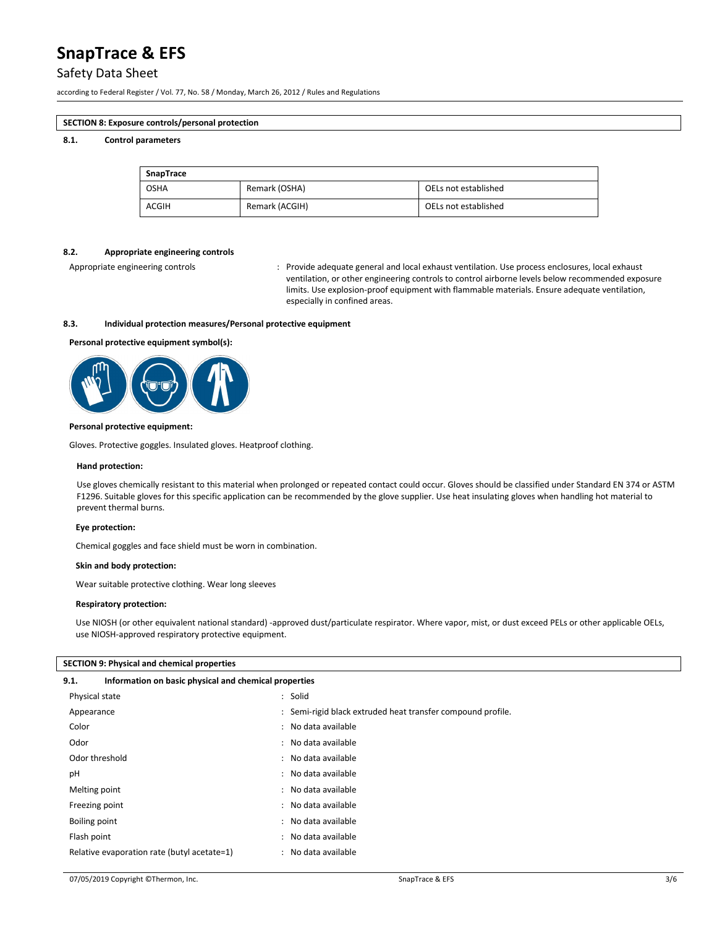### Safety Data Sheet

according to Federal Register / Vol. 77, No. 58 / Monday, March 26, 2012 / Rules and Regulations

### **SECTION 8: Exposure controls/personal protection**

### **8.1. Control parameters**

| SnapTrace   |                |                      |  |  |
|-------------|----------------|----------------------|--|--|
| <b>OSHA</b> | Remark (OSHA)  | OELs not established |  |  |
| ACGIH       | Remark (ACGIH) | OELs not established |  |  |

### **8.2. Appropriate engineering controls**

Appropriate engineering controls : Provide adequate general and local exhaust ventilation. Use process enclosures, local exhaust ventilation, or other engineering controls to control airborne levels below recommended exposure limits. Use explosion-proof equipment with flammable materials. Ensure adequate ventilation, especially in confined areas.

### **8.3. Individual protection measures/Personal protective equipment**

### **Personal protective equipment symbol(s):**



### **Personal protective equipment:**

Gloves. Protective goggles. Insulated gloves. Heatproof clothing.

#### **Hand protection:**

Use gloves chemically resistant to this material when prolonged or repeated contact could occur. Gloves should be classified under Standard EN 374 or ASTM F1296. Suitable gloves for this specific application can be recommended by the glove supplier. Use heat insulating gloves when handling hot material to prevent thermal burns.

### **Eye protection:**

Chemical goggles and face shield must be worn in combination.

### **Skin and body protection:**

Wear suitable protective clothing. Wear long sleeves

### **Respiratory protection:**

Use NIOSH (or other equivalent national standard) -approved dust/particulate respirator. Where vapor, mist, or dust exceed PELs or other applicable OELs, use NIOSH-approved respiratory protective equipment.

### **SECTION 9: Physical and chemical properties**

### **9.1. Information on basic physical and chemical properties**

| Physical state                              | : Solid                                                     |
|---------------------------------------------|-------------------------------------------------------------|
| Appearance                                  | : Semi-rigid black extruded heat transfer compound profile. |
| Color                                       | : No data available                                         |
| Odor                                        | : No data available                                         |
| Odor threshold                              | : No data available                                         |
| рH                                          | : No data available                                         |
| Melting point                               | : No data available                                         |
| Freezing point                              | : No data available                                         |
| Boiling point                               | : No data available                                         |
| Flash point                                 | : No data available                                         |
| Relative evaporation rate (butyl acetate=1) | : No data available                                         |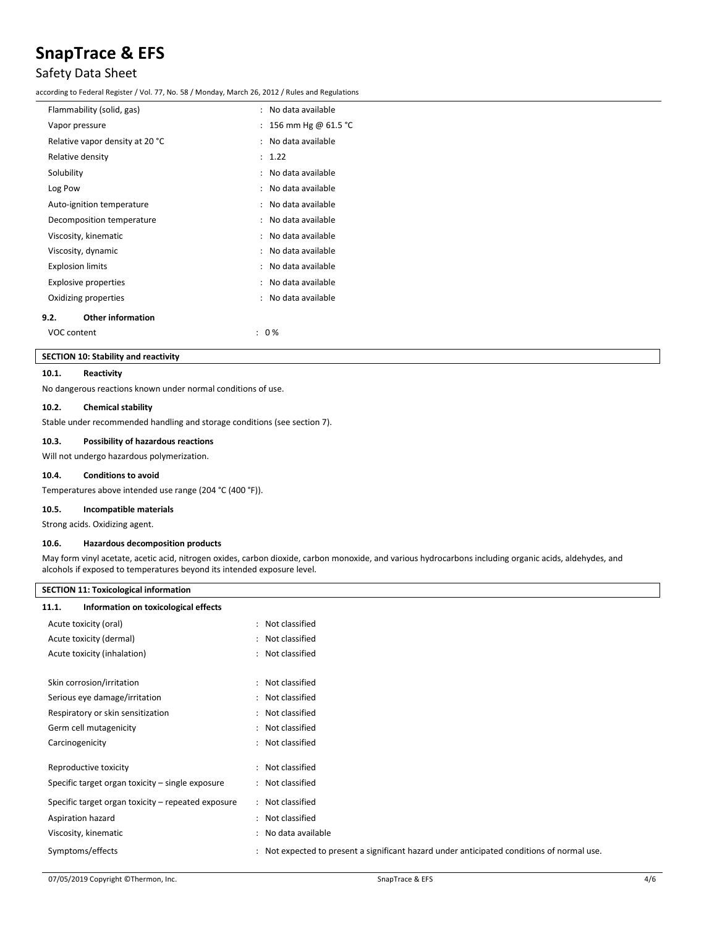### Safety Data Sheet

according to Federal Register / Vol. 77, No. 58 / Monday, March 26, 2012 / Rules and Regulations

| Flammability (solid, gas)        |    | No data available   |
|----------------------------------|----|---------------------|
| Vapor pressure                   |    | 156 mm Hg @ 61.5 °C |
| Relative vapor density at 20 °C  |    | No data available   |
| Relative density                 | ۰. | 1.22                |
| Solubility                       |    | No data available   |
| Log Pow                          |    | No data available   |
| Auto-ignition temperature        |    | No data available   |
| Decomposition temperature        |    | No data available   |
| Viscosity, kinematic             |    | No data available   |
| Viscosity, dynamic               |    | No data available   |
| <b>Explosion limits</b>          |    | No data available   |
| <b>Explosive properties</b>      |    | No data available   |
| Oxidizing properties             |    | No data available   |
| <b>Other information</b><br>9.2. |    |                     |
| VOC content                      |    | 0%                  |
|                                  |    |                     |

### **SECTION 10: Stability and reactivity**

### **10.1. Reactivity**

No dangerous reactions known under normal conditions of use.

### **10.2. Chemical stability**

Stable under recommended handling and storage conditions (see section 7).

### **10.3. Possibility of hazardous reactions**

Will not undergo hazardous polymerization.

### **10.4. Conditions to avoid**

Temperatures above intended use range (204 °C (400 °F)).

### **10.5. Incompatible materials**

Strong acids. Oxidizing agent.

### **10.6. Hazardous decomposition products**

May form vinyl acetate, acetic acid, nitrogen oxides, carbon dioxide, carbon monoxide, and various hydrocarbons including organic acids, aldehydes, and alcohols if exposed to temperatures beyond its intended exposure level.

| <b>SECTION 11: Toxicological information</b>       |                                                                                            |  |  |  |  |
|----------------------------------------------------|--------------------------------------------------------------------------------------------|--|--|--|--|
| Information on toxicological effects<br>11.1.      |                                                                                            |  |  |  |  |
| Acute toxicity (oral)                              | : Not classified                                                                           |  |  |  |  |
| Acute toxicity (dermal)                            | : Not classified                                                                           |  |  |  |  |
| Acute toxicity (inhalation)                        | : Not classified                                                                           |  |  |  |  |
| Skin corrosion/irritation                          | : Not classified                                                                           |  |  |  |  |
| Serious eye damage/irritation                      | : Not classified                                                                           |  |  |  |  |
| Respiratory or skin sensitization                  | : Not classified                                                                           |  |  |  |  |
| Germ cell mutagenicity                             | : Not classified                                                                           |  |  |  |  |
| Carcinogenicity                                    | : Not classified                                                                           |  |  |  |  |
| Reproductive toxicity                              | : Not classified                                                                           |  |  |  |  |
| Specific target organ toxicity – single exposure   | : Not classified                                                                           |  |  |  |  |
| Specific target organ toxicity - repeated exposure | : Not classified                                                                           |  |  |  |  |
| Aspiration hazard                                  | : Not classified                                                                           |  |  |  |  |
| Viscosity, kinematic                               | : No data available                                                                        |  |  |  |  |
| Symptoms/effects                                   | : Not expected to present a significant hazard under anticipated conditions of normal use. |  |  |  |  |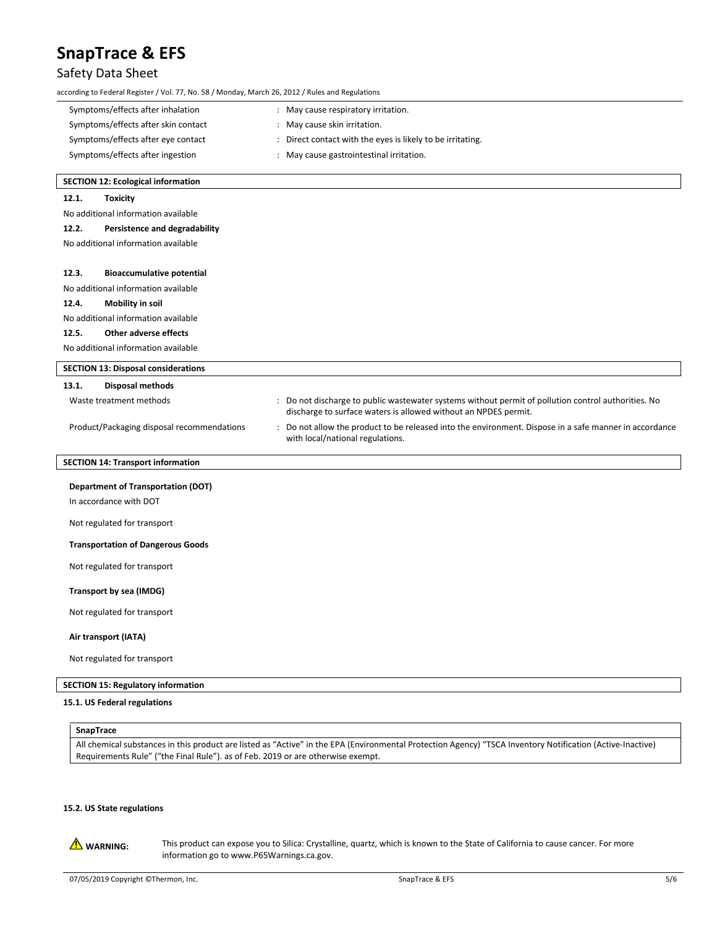## Safety Data Sheet

| according to Federal Register / Vol. 77, No. 58 / Monday, March 26, 2012 / Rules and Regulations |                                                                                                                                                                        |
|--------------------------------------------------------------------------------------------------|------------------------------------------------------------------------------------------------------------------------------------------------------------------------|
| Symptoms/effects after inhalation                                                                | : May cause respiratory irritation.                                                                                                                                    |
| Symptoms/effects after skin contact                                                              | : May cause skin irritation.                                                                                                                                           |
| Symptoms/effects after eye contact                                                               | : Direct contact with the eyes is likely to be irritating.                                                                                                             |
| Symptoms/effects after ingestion                                                                 | : May cause gastrointestinal irritation.                                                                                                                               |
| <b>SECTION 12: Ecological information</b>                                                        |                                                                                                                                                                        |
| 12.1.<br><b>Toxicity</b>                                                                         |                                                                                                                                                                        |
| No additional information available                                                              |                                                                                                                                                                        |
| 12.2.<br>Persistence and degradability                                                           |                                                                                                                                                                        |
| No additional information available                                                              |                                                                                                                                                                        |
| 12.3.<br><b>Bioaccumulative potential</b>                                                        |                                                                                                                                                                        |
| No additional information available                                                              |                                                                                                                                                                        |
| 12.4.<br>Mobility in soil                                                                        |                                                                                                                                                                        |
| No additional information available                                                              |                                                                                                                                                                        |
| 12.5.<br><b>Other adverse effects</b>                                                            |                                                                                                                                                                        |
| No additional information available                                                              |                                                                                                                                                                        |
| <b>SECTION 13: Disposal considerations</b>                                                       |                                                                                                                                                                        |
| 13.1.<br><b>Disposal methods</b>                                                                 |                                                                                                                                                                        |
| Waste treatment methods                                                                          | : Do not discharge to public wastewater systems without permit of pollution control authorities. No<br>discharge to surface waters is allowed without an NPDES permit. |
| Product/Packaging disposal recommendations                                                       | : Do not allow the product to be released into the environment. Dispose in a safe manner in accordance<br>with local/national regulations.                             |
| <b>SECTION 14: Transport information</b>                                                         |                                                                                                                                                                        |
| <b>Department of Transportation (DOT)</b>                                                        |                                                                                                                                                                        |
| In accordance with DOT                                                                           |                                                                                                                                                                        |
| Not regulated for transport                                                                      |                                                                                                                                                                        |
| <b>Transportation of Dangerous Goods</b>                                                         |                                                                                                                                                                        |
| Not regulated for transport                                                                      |                                                                                                                                                                        |
| Transport by sea (IMDG)                                                                          |                                                                                                                                                                        |
| Not regulated for transport                                                                      |                                                                                                                                                                        |
| Air transport (IATA)                                                                             |                                                                                                                                                                        |
| Not regulated for transport                                                                      |                                                                                                                                                                        |
| <b>SECTION 15: Regulatory information</b>                                                        |                                                                                                                                                                        |

### **15.1. US Federal regulations**

| SnapTrace                                                                                                                                                  |
|------------------------------------------------------------------------------------------------------------------------------------------------------------|
| All chemical substances in this product are listed as "Active" in the EPA (Environmental Protection Agency) "TSCA Inventory Notification (Active-Inactive) |
| Requirements Rule" ("the Final Rule"). as of Feb. 2019 or are otherwise exempt.                                                                            |

### **15.2. US State regulations**

WARNING: This product can expose you to Silica: Crystalline, quartz, which is known to the State of California to cause cancer. For more information go to www.P65Warnings.ca.gov.